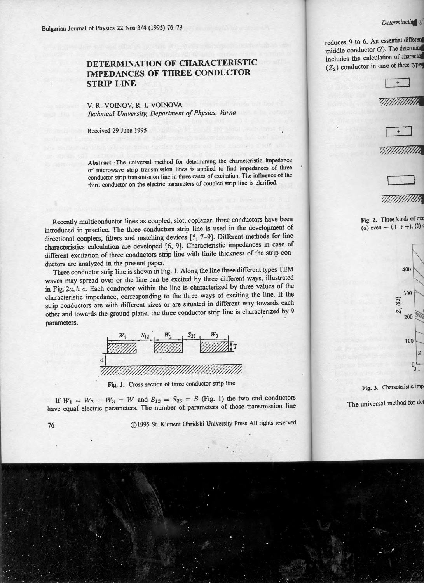## **DETERMINATION OF CHARACTERISTIC IMPEDANCES OF THREE CONDUCTOR STRIP LINE**

## V. R. VOINOV, R. I. VOINOVA *Technical University, Department of Physics, Varna*

Received 29 June 1995

Abstract. ·The universal method for determining the characteristic impedance of microwave strip transmission lines is applied to find impedances of three conductor strip transmission line in three cases of excitation. The influence of the third conductor on the electric parameters of coupled strip line is clarified.

Recently multiconductor lines as coupled, slot, coplanar, three conductors have been introduced in practice. The three conductors strip line is used in the development of directional couplers, filters and matching devices [5, 7-9). Different methods for line characteristics calculation are developed [6, 9]. Characteristic impedances in case of different excitation of three conductors strip line with finite thickness of the strip conductors are analyzed in the present paper.

Three conductor strip line is shown in Fig. 1. Along the line three different types TEM waves may spread over or the line can be excited by three different ways, illustrated in Fig. *2a, b,* c. Each conductor within the line is characterized by three values of the characteristic impedance, corresponding to the three ways of exciting the line. If the strip conductors are with different sizes or are situated in different way towards each other and towards the ground plane, the three conductor strip line is characterized by 9 parameters.



Fig. 1. Cross section of three conductor strip line

If  $W_1 = W_2 = W_3 = W$  and  $S_{12} = S_{23} = S$  (Fig. 1) the two end conductors have equal electric parameters. The number of parameters of those transmission line

76 @1995 St. Kliment Ohridski University Press All rights reserved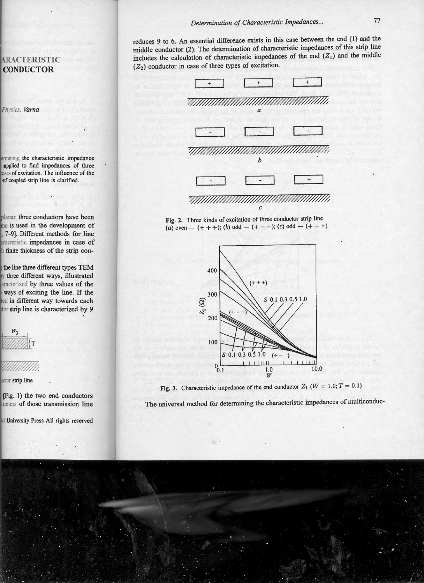reduces 9 to 6. An essential difference exists in this case between the end (1) and the middle conductor (2). The determination of characteristic impedances of this strip line includes the calculation of characteristic impedances of the end  $(Z_1)$  and the middle  $(Z_2)$  conductor in case of three types of excitation.



Fig. 2. Three kinds of excitation of three conductor strip line (a) even  $- (+ + +)$ ; (b) odd  $- (+ - -)$ ; (c) odd  $- (+ - +)$ 



Fig. 3. Characteristic impedance of the end conductor  $Z_1$  ( $W = 1.0; T = 0.1$ )

The universal method for determining the characteristic impedances of multiconduc-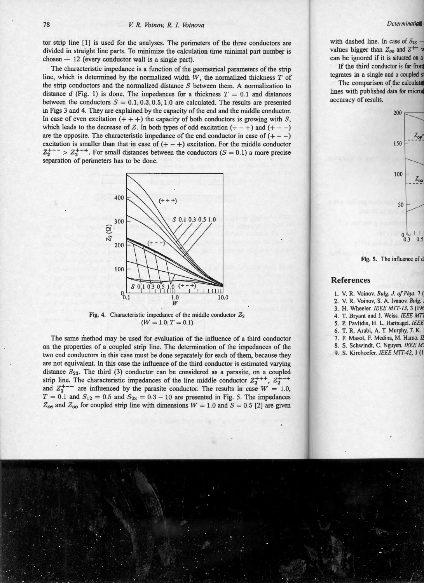tor strip line [1] is used for the analyses. The perimeters of the three conductors are divided in straight line parts. To minimize the calculation time minimal part number is  $chosen - 12$  (every conductor wall is a single part).

The characteristic impedance is a function of the geometrical parameters of the strip line, which is detennined by the normalized width *W,* the normalized thickness *T* of the strip conductors and the normalized distance  $S$  between them. A normalization to distance *d* (Fig. 1) is done. The impedances for a thickness  $T = 0.1$  and distances between the conductors  $S = 0.1, 0.3, 0.5, 1.0$  are calculated. The results are presented in Figs 3 and 4. They are explained by the capacity of the end and the middle conductor. In case of even excitation  $(+++)$  the capacity of both conductors is growing with S, which leads to the decrease of Z. In both types of odd excitation  $(+ - +)$  and  $(+ - -)$ are the opposite. The characteristic impedance of the end conductor in case of  $(+ - -)$ excitation is smaller than that in case of  $( + - + )$  excitation. For the middle conductor  $Z_{2}^{+--}$  >  $Z_{2}^{+-+}$ . For small distances between the conductors ( $S = 0.1$ ) a more precise separation of perimeters has to be done.



Fig. 4. Characteristic impedance of the middle conductor  $Z_2$  $(W = 1.0; T = 0.1)$ 

The same method may be used for evaluation of the influence of a third conductor on the properties of a coupled strip line. The determination of the impedances of the two end conductors in this case must be done separately for each of them, because they are not equivalent. In this case the influence of the third conductor is estimated varying distance  $S_{23}$ . The third (3) conductor can be considered as a parasite, on a coupled strip line. The characteristic impedances of the line middle conductor  $Z_2^{++}$ ,  $Z_2^{+-}$ and  $Z_2^{+--}$  are influenced by the parasite conductor. The results in case  $W = 1.0$ ,  $T = 0.1$  and  $S_{12} = 0.5$  and  $S_{23} = 0.3 - 10$  are presented in Fig. 5. The impedances  $Z_{oe}$  and  $Z_{oo}$  for coupled strip line with dimensions  $W = 1.0$  and  $S = 0.5$  [2] are given